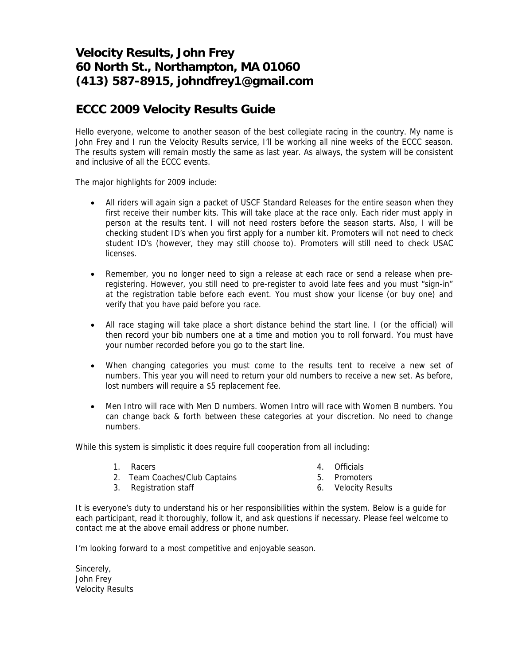# **Velocity Results, John Frey 60 North St., Northampton, MA 01060 (413) 587-8915, johndfrey1@gmail.com**

## **ECCC 2009 Velocity Results Guide**

Hello everyone, welcome to another season of the best collegiate racing in the country. My name is John Frey and I run the Velocity Results service, I'll be working all nine weeks of the ECCC season. The results system will remain mostly the same as last year. As always, the system will be consistent and inclusive of all the ECCC events.

The major highlights for 2009 include:

- All riders will again sign a packet of USCF Standard Releases for the entire season when they first receive their number kits. This will take place at the race only. Each rider must apply in person at the results tent. I will not need rosters before the season starts. Also, I will be checking student ID's when you first apply for a number kit. Promoters will not need to check student ID's (however, they may still choose to). Promoters will still need to check USAC licenses.
- Remember, you no longer need to sign a release at each race or send a release when preregistering. However, you still need to pre-register to avoid late fees and you must "sign-in" at the registration table before each event. You must show your license (or buy one) and verify that you have paid before you race.
- All race staging will take place a short distance behind the start line. I (or the official) will then record your bib numbers one at a time and motion you to roll forward. You must have your number recorded before you go to the start line.
- When changing categories you must come to the results tent to receive a new set of numbers. This year you will need to return your old numbers to receive a new set. As before, lost numbers will require a \$5 replacement fee.
- Men Intro will race with Men D numbers. Women Intro will race with Women B numbers. You can change back & forth between these categories at your discretion. No need to change numbers.

While this system is simplistic it does require full cooperation from all including:

1. Racers 2. Team Coaches/Club Captains

- 4. Officials
- 5. Promoters
- 3. Registration staff

6. Velocity Results

It is everyone's duty to understand his or her responsibilities within the system. Below is a guide for each participant, read it thoroughly, follow it, and ask questions if necessary. Please feel welcome to contact me at the above email address or phone number.

I'm looking forward to a most competitive and enjoyable season.

Sincerely, John Frey Velocity Results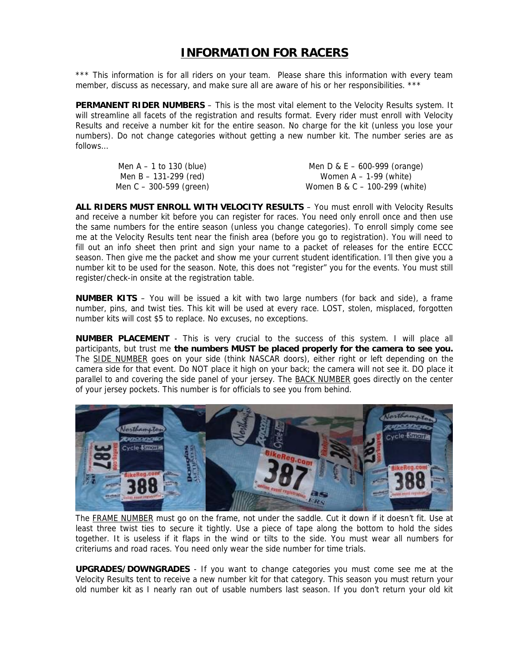### **INFORMATION FOR RACERS**

\*\*\* This information is for all riders on your team. Please share this information with every team member, discuss as necessary, and make sure all are aware of his or her responsibilities. \*\*\*

**PERMANENT RIDER NUMBERS** – This is the most vital element to the Velocity Results system. It will streamline all facets of the registration and results format. Every rider must enroll with Velocity Results and receive a number kit for the entire season. No charge for the kit (unless you lose your numbers). Do not change categories without getting a new number kit. The number series are as follows…

| Men $A - 1$ to 130 (blue)   | Men D & E $-$ 600-999 (orange)  |
|-----------------------------|---------------------------------|
| Men B – 131-299 (red)       | Women $A - 1-99$ (white)        |
| Men $C - 300 - 599$ (green) | Women B & C $-$ 100-299 (white) |

**ALL RIDERS MUST ENROLL WITH VELOCITY RESULTS** – You must enroll with Velocity Results and receive a number kit before you can register for races. You need only enroll once and then use the same numbers for the entire season (unless you change categories). To enroll simply come see me at the Velocity Results tent near the finish area (before you go to registration). You will need to fill out an info sheet then print and sign your name to a packet of releases for the entire ECCC season. Then give me the packet and show me your current student identification. I'll then give you a number kit to be used for the season. Note, this does not "register" you for the events. You must still register/check-in onsite at the registration table.

**NUMBER KITS** – You will be issued a kit with two large numbers (for back and side), a frame number, pins, and twist ties. This kit will be used at every race. LOST, stolen, misplaced, forgotten number kits will cost \$5 to replace. No excuses, no exceptions.

**NUMBER PLACEMENT** - This is very crucial to the success of this system. I will place all participants, but trust me **the numbers MUST be placed properly for the camera to see you.** The **SIDE NUMBER** goes on your side (think NASCAR doors), either right or left depending on the camera side for that event. Do NOT place it high on your back; the camera will not see it. DO place it parallel to and covering the side panel of your jersey. The BACK NUMBER goes directly on the center of your jersey pockets. This number is for officials to see you from behind.



The FRAME NUMBER must go on the frame, not under the saddle. Cut it down if it doesn't fit. Use at least three twist ties to secure it tightly. Use a piece of tape along the bottom to hold the sides together. It is useless if it flaps in the wind or tilts to the side. You must wear all numbers for criteriums and road races. You need only wear the side number for time trials.

**UPGRADES/DOWNGRADES** - If you want to change categories you must come see me at the Velocity Results tent to receive a new number kit for that category. This season you must return your old number kit as I nearly ran out of usable numbers last season. If you don't return your old kit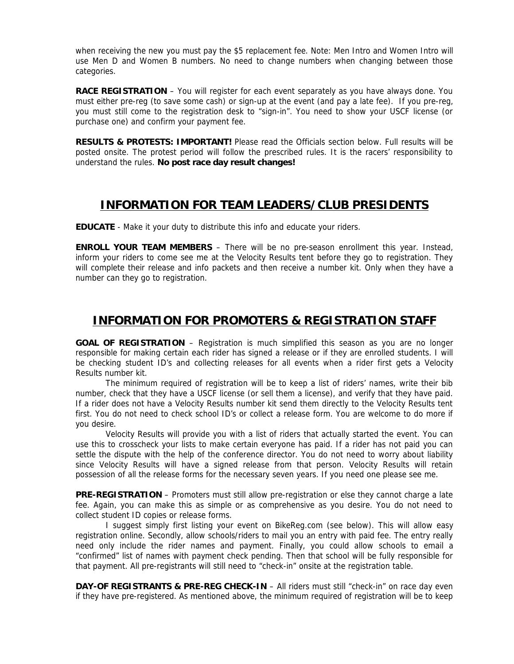when receiving the new you must pay the \$5 replacement fee. Note: Men Intro and Women Intro will use Men D and Women B numbers. No need to change numbers when changing between those categories.

**RACE REGISTRATION** – You will register for each event separately as you have always done. You must either pre-reg (to save some cash) or sign-up at the event (and pay a late fee). If you pre-reg, you must still come to the registration desk to "sign-in". You need to show your USCF license (or purchase one) and confirm your payment fee.

**RESULTS & PROTESTS: IMPORTANT!** Please read the Officials section below. Full results will be posted onsite. The protest period will follow the prescribed rules. It is the racers' responsibility to understand the rules. **No post race day result changes!**

### **INFORMATION FOR TEAM LEADERS/CLUB PRESIDENTS**

**EDUCATE** - Make it your duty to distribute this info and educate your riders.

**ENROLL YOUR TEAM MEMBERS** – There will be no pre-season enrollment this year. Instead, inform your riders to come see me at the Velocity Results tent before they go to registration. They will complete their release and info packets and then receive a number kit. Only when they have a number can they go to registration.

### **INFORMATION FOR PROMOTERS & REGISTRATION STAFF**

**GOAL OF REGISTRATION** – Registration is much simplified this season as you are no longer responsible for making certain each rider has signed a release or if they are enrolled students. I will be checking student ID's and collecting releases for all events when a rider first gets a Velocity Results number kit.

The minimum required of registration will be to keep a list of riders' names, write their bib number, check that they have a USCF license (or sell them a license), and verify that they have paid. If a rider does not have a Velocity Results number kit send them directly to the Velocity Results tent first. You do not need to check school ID's or collect a release form. You are welcome to do more if you desire.

Velocity Results will provide you with a list of riders that actually started the event. You can use this to crosscheck your lists to make certain everyone has paid. If a rider has not paid you can settle the dispute with the help of the conference director. You do not need to worry about liability since Velocity Results will have a signed release from that person. Velocity Results will retain possession of all the release forms for the necessary seven years. If you need one please see me.

**PRE-REGISTRATION** – Promoters must still allow pre-registration or else they cannot charge a late fee. Again, you can make this as simple or as comprehensive as you desire. You do not need to collect student ID copies or release forms.

I suggest simply first listing your event on BikeReg.com (see below). This will allow easy registration online. Secondly, allow schools/riders to mail you an entry with paid fee. The entry really need only include the rider names and payment. Finally, you could allow schools to email a "confirmed" list of names with payment check pending. Then that school will be fully responsible for that payment. All pre-registrants will still need to "check-in" onsite at the registration table.

**DAY-OF REGISTRANTS & PRE-REG CHECK-IN** – All riders must still "check-in" on race day even if they have pre-registered. As mentioned above, the minimum required of registration will be to keep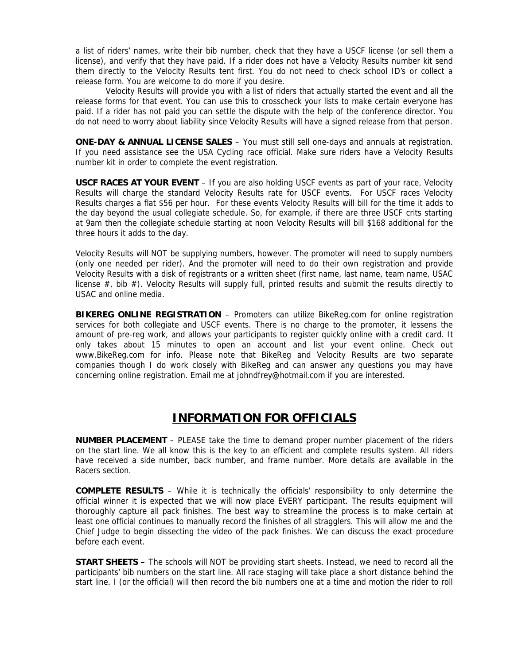a list of riders' names, write their bib number, check that they have a USCF license (or sell them a license), and verify that they have paid. If a rider does not have a Velocity Results number kit send them directly to the Velocity Results tent first. You do not need to check school ID's or collect a release form. You are welcome to do more if you desire.

Velocity Results will provide you with a list of riders that actually started the event and all the release forms for that event. You can use this to crosscheck your lists to make certain everyone has paid. If a rider has not paid you can settle the dispute with the help of the conference director. You do not need to worry about liability since Velocity Results will have a signed release from that person.

**ONE-DAY & ANNUAL LICENSE SALES** – You must still sell one-days and annuals at registration. If you need assistance see the USA Cycling race official. Make sure riders have a Velocity Results number kit in order to complete the event registration.

**USCF RACES AT YOUR EVENT** – If you are also holding USCF events as part of your race, Velocity Results will charge the standard Velocity Results rate for USCF events. For USCF races Velocity Results charges a flat \$56 per hour. For these events Velocity Results will bill for the time it adds to the day beyond the usual collegiate schedule. So, for example, if there are three USCF crits starting at 9am then the collegiate schedule starting at noon Velocity Results will bill \$168 additional for the three hours it adds to the day.

Velocity Results will NOT be supplying numbers, however. The promoter will need to supply numbers (only one needed per rider). And the promoter will need to do their own registration and provide Velocity Results with a disk of registrants or a written sheet (first name, last name, team name, USAC license #, bib #). Velocity Results will supply full, printed results and submit the results directly to USAC and online media.

**BIKEREG ONLINE REGISTRATION** – Promoters can utilize BikeReg.com for online registration services for both collegiate and USCF events. There is no charge to the promoter, it lessens the amount of pre-reg work, and allows your participants to register quickly online with a credit card. It only takes about 15 minutes to open an account and list your event online. Check out www.BikeReg.com for info. Please note that BikeReg and Velocity Results are two separate companies though I do work closely with BikeReg and can answer any questions you may have concerning online registration. Email me at johndfrey@hotmail.com if you are interested.

#### **INFORMATION FOR OFFICIALS**

**NUMBER PLACEMENT** – PLEASE take the time to demand proper number placement of the riders on the start line. We all know this is the key to an efficient and complete results system. All riders have received a side number, back number, and frame number. More details are available in the Racers section.

**COMPLETE RESULTS** – While it is technically the officials' responsibility to only determine the official winner it is expected that we will now place EVERY participant. The results equipment will thoroughly capture all pack finishes. The best way to streamline the process is to make certain at least one official continues to manually record the finishes of all stragglers. This will allow me and the Chief Judge to begin dissecting the video of the pack finishes. We can discuss the exact procedure before each event.

**START SHEETS –** The schools will NOT be providing start sheets. Instead, we need to record all the participants' bib numbers on the start line. All race staging will take place a short distance behind the start line. I (or the official) will then record the bib numbers one at a time and motion the rider to roll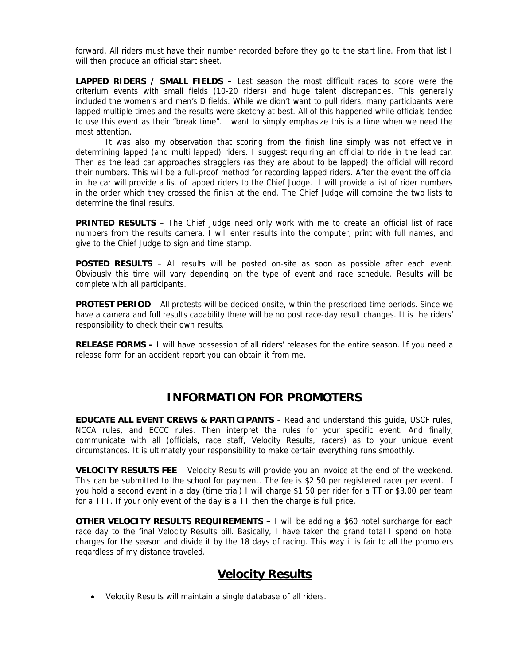forward. All riders must have their number recorded before they go to the start line. From that list I will then produce an official start sheet.

**LAPPED RIDERS / SMALL FIELDS –** Last season the most difficult races to score were the criterium events with small fields (10-20 riders) and huge talent discrepancies. This generally included the women's and men's D fields. While we didn't want to pull riders, many participants were lapped multiple times and the results were sketchy at best. All of this happened while officials tended to use this event as their "break time". I want to simply emphasize this is a time when we need the most attention.

It was also my observation that scoring from the finish line simply was not effective in determining lapped (and multi lapped) riders. I suggest requiring an official to ride in the lead car. Then as the lead car approaches stragglers (as they are about to be lapped) the official will record their numbers. This will be a full-proof method for recording lapped riders. After the event the official in the car will provide a list of lapped riders to the Chief Judge. I will provide a list of rider numbers in the order which they crossed the finish at the end. The Chief Judge will combine the two lists to determine the final results.

**PRINTED RESULTS** – The Chief Judge need only work with me to create an official list of race numbers from the results camera. I will enter results into the computer, print with full names, and give to the Chief Judge to sign and time stamp.

**POSTED RESULTS** – All results will be posted on-site as soon as possible after each event. Obviously this time will vary depending on the type of event and race schedule. Results will be complete with all participants.

**PROTEST PERIOD** – All protests will be decided onsite, within the prescribed time periods. Since we have a camera and full results capability there will be no post race-day result changes. It is the riders' responsibility to check their own results.

**RELEASE FORMS –** I will have possession of all riders' releases for the entire season. If you need a release form for an accident report you can obtain it from me.

#### **INFORMATION FOR PROMOTERS**

**EDUCATE ALL EVENT CREWS & PARTICIPANTS** – Read and understand this guide, USCF rules, NCCA rules, and ECCC rules. Then interpret the rules for your specific event. And finally, communicate with all (officials, race staff, Velocity Results, racers) as to your unique event circumstances. It is ultimately your responsibility to make certain everything runs smoothly.

**VELOCITY RESULTS FEE** – Velocity Results will provide you an invoice at the end of the weekend. This can be submitted to the school for payment. The fee is \$2.50 per registered racer per event. If you hold a second event in a day (time trial) I will charge \$1.50 per rider for a TT or \$3.00 per team for a TTT. If your only event of the day is a TT then the charge is full price.

**OTHER VELOCITY RESULTS REQUIREMENTS - I** will be adding a \$60 hotel surcharge for each race day to the final Velocity Results bill. Basically, I have taken the grand total I spend on hotel charges for the season and divide it by the 18 days of racing. This way it is fair to all the promoters regardless of my distance traveled.

#### **Velocity Results**

• Velocity Results will maintain a single database of all riders.